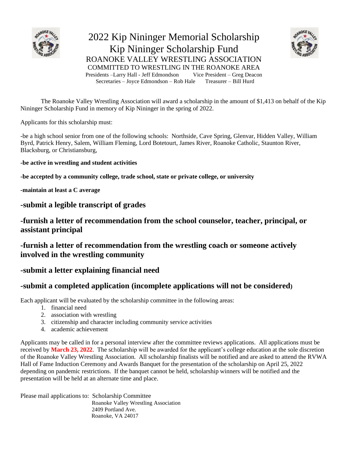

2022 Kip Nininger Memorial Scholarship Kip Nininger Scholarship Fund ROANOKE VALLEY WRESTLING ASSOCIATION COMMITTED TO WRESTLING IN THE ROANOKE AREA<br>Presidents –Larry Hall - Jeff Edmondson Vice President – Greg Deacon Presidents –Larry Hall - Jeff Edmondson Secretaries – Joyce Edmondson – Rob Hale Treasurer – Bill Hurd



The Roanoke Valley Wrestling Association will award a scholarship in the amount of \$1,413 on behalf of the Kip Nininger Scholarship Fund in memory of Kip Nininger in the spring of 2022.

Applicants for this scholarship must:

-be a high school senior from one of the following schools: Northside, Cave Spring, Glenvar, Hidden Valley, William Byrd, Patrick Henry, Salem, William Fleming, Lord Botetourt, James River, Roanoke Catholic, Staunton River, Blacksburg, or Christiansburg,

**-be active in wrestling and student activities** 

**-be accepted by a community college, trade school, state or private college, or university**

**-maintain at least a C average**

**-submit a legible transcript of grades**

**-furnish a letter of recommendation from the school counselor, teacher, principal, or assistant principal**

**-furnish a letter of recommendation from the wrestling coach or someone actively involved in the wrestling community**

### **-submit a letter explaining financial need**

### **-submit a completed application (incomplete applications will not be considered)**

Each applicant will be evaluated by the scholarship committee in the following areas:

- 1. financial need
- 2. association with wrestling
- 3. citizenship and character including community service activities
- 4. academic achievement

Applicants may be called in for a personal interview after the committee reviews applications. All applications must be received by **March 23, 2022**. The scholarship will be awarded for the applicant's college education at the sole discretion of the Roanoke Valley Wrestling Association. All scholarship finalists will be notified and are asked to attend the RVWA Hall of Fame Induction Ceremony and Awards Banquet for the presentation of the scholarship on April 25, 2022 depending on pandemic restrictions. If the banquet cannot be held, scholarship winners will be notified and the presentation will be held at an alternate time and place.

Please mail applications to: Scholarship Committee Roanoke Valley Wrestling Association 2409 Portland Ave. Roanoke, VA 24017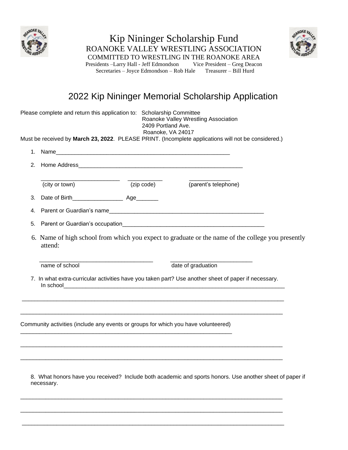



COMMITTED TO WRESTLING IN THE ROANOKE AREA Presidents –Larry Hall - Jeff Edmondson Vice President – Greg Deacon Secretaries – Joyce Edmondson – Rob Hale Treasurer – Bill Hurd

Kip Nininger Scholarship Fund ROANOKE VALLEY WRESTLING ASSOCIATION

### 2022 Kip Nininger Memorial Scholarship Application

|                                                                                                              | Please complete and return this application to: Scholarship Committee<br>Roanoke Valley Wrestling Association<br>2409 Portland Ave.<br>Roanoke, VA 24017 |  |  |
|--------------------------------------------------------------------------------------------------------------|----------------------------------------------------------------------------------------------------------------------------------------------------------|--|--|
|                                                                                                              | Must be received by March 23, 2022. PLEASE PRINT. (Incomplete applications will not be considered.)                                                      |  |  |
|                                                                                                              |                                                                                                                                                          |  |  |
|                                                                                                              |                                                                                                                                                          |  |  |
|                                                                                                              | (zip code)<br>(city or town)<br>(parent's telephone)                                                                                                     |  |  |
|                                                                                                              |                                                                                                                                                          |  |  |
|                                                                                                              |                                                                                                                                                          |  |  |
| 5.                                                                                                           |                                                                                                                                                          |  |  |
| 6. Name of high school from which you expect to graduate or the name of the college you presently<br>attend: |                                                                                                                                                          |  |  |
|                                                                                                              | date of graduation<br>name of school                                                                                                                     |  |  |
| 7. In what extra-curricular activities have you taken part? Use another sheet of paper if necessary.         |                                                                                                                                                          |  |  |
|                                                                                                              | Community activities (include any events or groups for which you have volunteered)                                                                       |  |  |
|                                                                                                              |                                                                                                                                                          |  |  |
|                                                                                                              | 8. What honors have you received? Include both academic and sports honors. Use another sheet of paper if<br>necessary.                                   |  |  |

\_\_\_\_\_\_\_\_\_\_\_\_\_\_\_\_\_\_\_\_\_\_\_\_\_\_\_\_\_\_\_\_\_\_\_\_\_\_\_\_\_\_\_\_\_\_\_\_\_\_\_\_\_\_\_\_\_\_\_\_\_\_\_\_\_\_\_\_\_\_\_\_\_\_\_\_\_\_\_\_\_\_\_

\_\_\_\_\_\_\_\_\_\_\_\_\_\_\_\_\_\_\_\_\_\_\_\_\_\_\_\_\_\_\_\_\_\_\_\_\_\_\_\_\_\_\_\_\_\_\_\_\_\_\_\_\_\_\_\_\_\_\_\_\_\_\_\_\_\_\_\_\_\_\_\_\_\_\_\_\_\_\_\_\_\_\_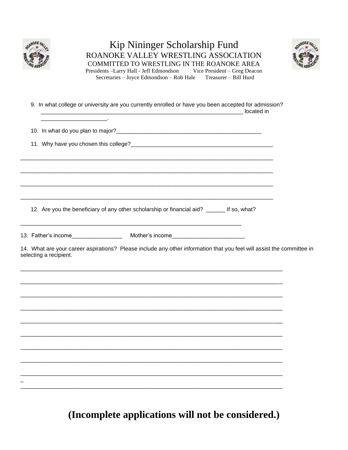

### Kip Nininger Scholarship Fund ROANOKE VALLEY WRESTLING ASSOCIATION COMMITTED TO WRESTLING IN THE ROANOKE AREA Presidents -Larry Hall - Jeff Edmondson Vice President - Greg Deacon Secretaries - Joyce Edmondson - Rob Hale Treasurer - Bill Hurd



9. In what college or university are you currently enrolled or have you been accepted for admission? **Contract Contract** 12. Are you the beneficiary of any other scholarship or financial aid? \_\_\_\_\_\_ If so, what? 13. Father's income Mother's income 14. What are your career aspirations? Please include any other information that you feel will assist the committee in selecting a recipient.

(Incomplete applications will not be considered.)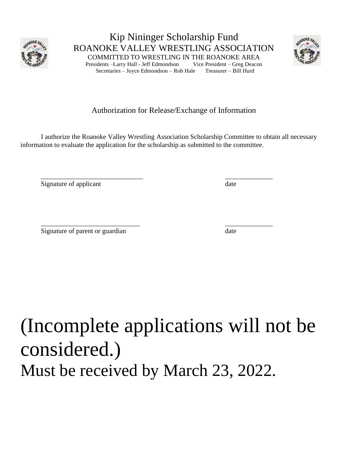

Kip Nininger Scholarship Fund ROANOKE VALLEY WRESTLING ASSOCIATION COMMITTED TO WRESTLING IN THE ROANOKE AREA Presidents –Larry Hall - Jeff Edmondson Vice President – Greg Deacon Secretaries – Joyce Edmondson – Rob Hale Treasurer – Bill Hurd



### Authorization for Release/Exchange of Information

I authorize the Roanoke Valley Wrestling Association Scholarship Committee to obtain all necessary information to evaluate the application for the scholarship as submitted to the committee.

\_\_\_\_\_\_\_\_\_\_\_\_\_\_\_\_\_\_\_\_\_\_\_\_\_\_\_\_\_\_ \_\_\_\_\_\_\_\_\_\_\_\_\_\_

Signature of applicant date

\_\_\_\_\_\_\_\_\_\_\_\_\_\_\_\_\_\_\_\_\_\_\_\_\_\_\_\_\_ \_\_\_\_\_\_\_\_\_\_\_\_\_\_ Signature of parent or guardian date

# (Incomplete applications will not be considered.) Must be received by March 23, 2022.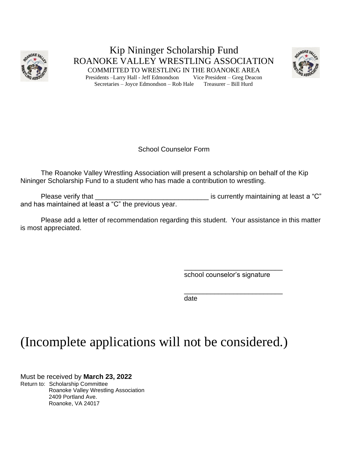

Kip Nininger Scholarship Fund ROANOKE VALLEY WRESTLING ASSOCIATION COMMITTED TO WRESTLING IN THE ROANOKE AREA Presidents –Larry Hall - Jeff Edmondson Vice President – Greg Deacon Secretaries – Joyce Edmondson – Rob Hale Treasurer – Bill Hurd



School Counselor Form

The Roanoke Valley Wrestling Association will present a scholarship on behalf of the Kip Nininger Scholarship Fund to a student who has made a contribution to wrestling.

Please verify that \_\_\_\_\_\_\_\_\_\_\_\_\_\_\_\_\_\_\_\_\_\_\_\_\_\_\_\_\_\_ is currently maintaining at least a "C" and has maintained at least a "C" the previous year.

Please add a letter of recommendation regarding this student. Your assistance in this matter is most appreciated.

> \_\_\_\_\_\_\_\_\_\_\_\_\_\_\_\_\_\_\_\_\_\_\_\_\_\_ school counselor's signature

> \_\_\_\_\_\_\_\_\_\_\_\_\_\_\_\_\_\_\_\_\_\_\_\_\_\_

date

## (Incomplete applications will not be considered.)

Must be received by **March 23, 2022** Return to: Scholarship Committee Roanoke Valley Wrestling Association 2409 Portland Ave. Roanoke, VA 24017